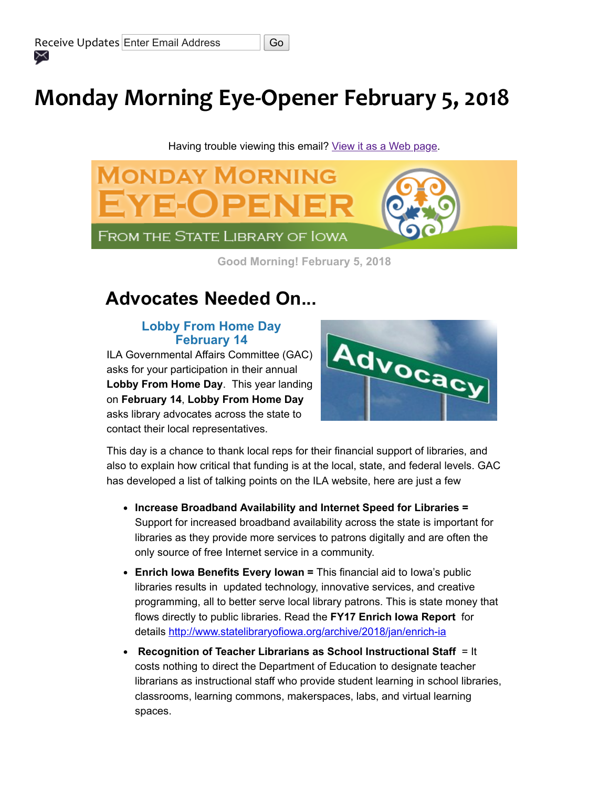# Monday Morning Eye-Opener February 5, 2018

Having trouble viewing this email? [View it as a Web page](https://content.govdelivery.com/accounts/IACIO/bulletins/1d86e6e).



Good Morning! February 5, 2018

# Advocates Needed On...

### Lobby From Home Day February 14

ILA Governmental Affairs Committee (GAC) asks for your participation in their annual Lobby From Home Day. This year landing on February 14, Lobby From Home Day asks library advocates across the state to contact their local representatives.



This day is a chance to thank local reps for their financial support of libraries, and also to explain how critical that funding is at the local, state, and federal levels. GAC has developed a list of talking points on the ILA website, here are just a few

- Increase Broadband Availability and Internet Speed for Libraries = Support for increased broadband availability across the state is important for libraries as they provide more services to patrons digitally and are often the only source of free Internet service in a community.
- Enrich Iowa Benefits Every Iowan = This financial aid to Iowa's public libraries results in updated technology, innovative services, and creative programming, all to better serve local library patrons. This is state money that flows directly to public libraries. Read the FY17 Enrich Iowa Report for details [http://www.statelibraryofiowa.org/archive/2018/jan/enrich-ia](http://www.statelibraryofiowa.org/archive/2018/jan/enrich-ia?utm_medium=email&utm_source=govdelivery)
- **Recognition of Teacher Librarians as School Instructional Staff**  $=$  **It** costs nothing to direct the Department of Education to designate teacher librarians as instructional staff who provide student learning in school libraries, classrooms, learning commons, makerspaces, labs, and virtual learning spaces.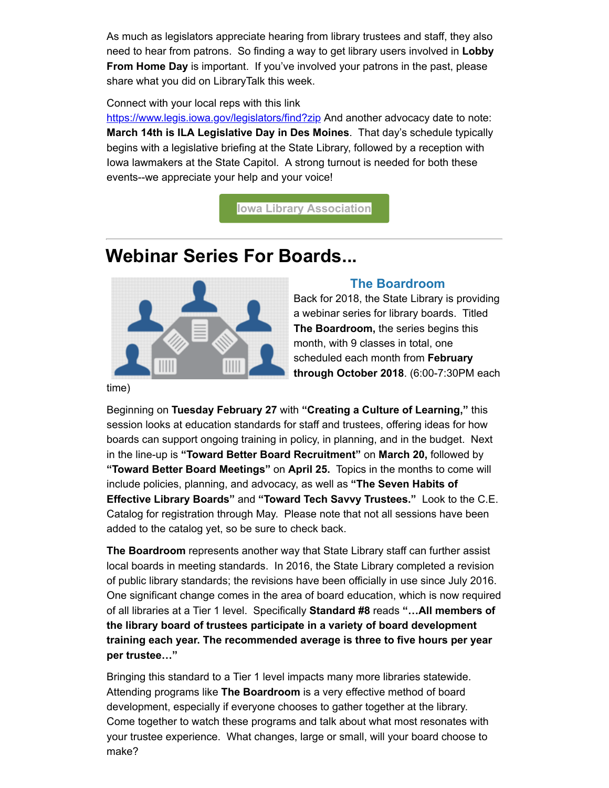As much as legislators appreciate hearing from library trustees and staff, they also need to hear from patrons. So finding a way to get library users involved in Lobby From Home Day is important. If you've involved your patrons in the past, please share what you did on LibraryTalk this week.

#### Connect with your local reps with this link

[https://www.legis.iowa.gov/legislators/find?zip](https://www.legis.iowa.gov/legislators/find?utm_medium=email&utm_source=govdelivery&zip=) And another advocacy date to note: March 14th is ILA Legislative Day in Des Moines. That day's schedule typically begins with a legislative briefing at the State Library, followed by a reception with Iowa lawmakers at the State Capitol. A strong turnout is needed for both these events--we appreciate your help and your voice!

[Iowa Library Association](https://www.iowalibraryassociation.org/?utm_medium=email&utm_source=govdelivery)

### Webinar Series For Boards...



### The Boardroom

Back for 2018, the State Library is providing a webinar series for library boards. Titled The Boardroom, the series begins this month, with 9 classes in total, one scheduled each month from February through October 2018. (6:00-7:30PM each

time)

Beginning on Tuesday February 27 with "Creating a Culture of Learning," this session looks at education standards for staff and trustees, offering ideas for how boards can support ongoing training in policy, in planning, and in the budget. Next in the line-up is "Toward Better Board Recruitment" on March 20, followed by "Toward Better Board Meetings" on April 25. Topics in the months to come will include policies, planning, and advocacy, as well as "The Seven Habits of Effective Library Boards" and "Toward Tech Savvy Trustees." Look to the C.E. Catalog for registration through May. Please note that not all sessions have been added to the catalog yet, so be sure to check back.

The Boardroom represents another way that State Library staff can further assist local boards in meeting standards. In 2016, the State Library completed a revision of public library standards; the revisions have been officially in use since July 2016. One significant change comes in the area of board education, which is now required of all libraries at a Tier 1 level. Specifically Standard #8 reads "…All members of the library board of trustees participate in a variety of board development training each year. The recommended average is three to five hours per year per trustee…"

Bringing this standard to a Tier 1 level impacts many more libraries statewide. Attending programs like The Boardroom is a very effective method of board development, especially if everyone chooses to gather together at the library. Come together to watch these programs and talk about what most resonates with your trustee experience. What changes, large or small, will your board choose to make?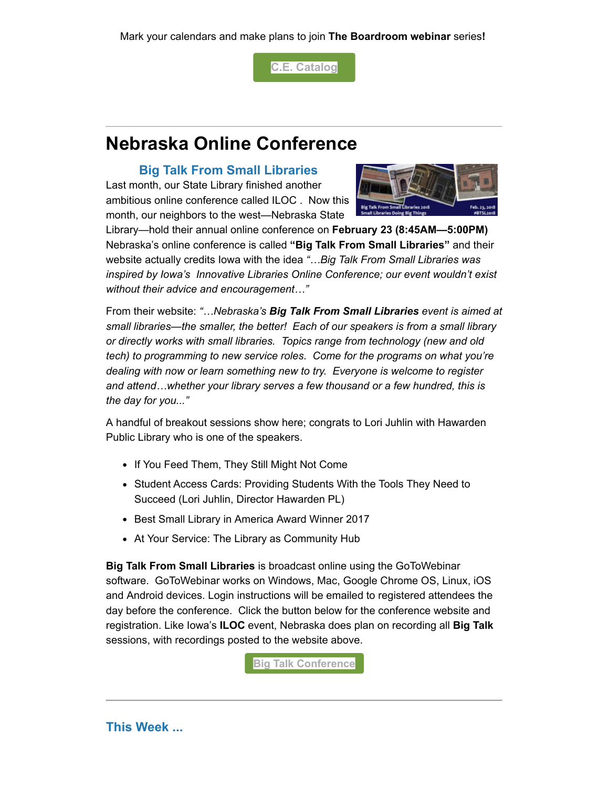Mark your calendars and make plans to join The Boardroom webinar series!

[C.E. Catalog](https://statelibraryofiowa.lmscheckout.com/Course/index?utm_medium=email&utm_source=govdelivery)

## Nebraska Online Conference

### Big Talk From Small Libraries

Last month, our State Library finished another ambitious online conference called ILOC . Now this month, our neighbors to the west—Nebraska State



Library—hold their annual online conference on February 23 (8:45AM—5:00PM) Nebraska's online conference is called "Big Talk From Small Libraries" and their website actually credits Iowa with the idea "... Big Talk From Small Libraries was inspired by Iowa's Innovative Libraries Online Conference; our event wouldn't exist without their advice and encouragement…"

From their website: "...Nebraska's Big Talk From Small Libraries event is aimed at small libraries—the smaller, the better! Each of our speakers is from a small library or directly works with small libraries. Topics range from technology (new and old tech) to programming to new service roles. Come for the programs on what you're dealing with now or learn something new to try. Everyone is welcome to register and attend…whether your library serves a few thousand or a few hundred, this is the day for you..."

A handful of breakout sessions show here; congrats to Lori Juhlin with Hawarden Public Library who is one of the speakers.

- If You Feed Them, They Still Might Not Come
- Student Access Cards: Providing Students With the Tools They Need to Succeed (Lori Juhlin, Director Hawarden PL)
- Best Small Library in America Award Winner 2017
- At Your Service: The Library as Community Hub

Big Talk From Small Libraries is broadcast online using the GoToWebinar software. GoToWebinar works on Windows, Mac, Google Chrome OS, Linux, iOS and Android devices. Login instructions will be emailed to registered attendees the day before the conference. Click the button below for the conference website and registration. Like Iowa's ILOC event, Nebraska does plan on recording all Big Talk sessions, with recordings posted to the website above.

**[Big Talk Conference](http://nlcblogs.nebraska.gov/bigtalk/?utm_medium=email&utm_source=govdelivery)** 

### This Week ...